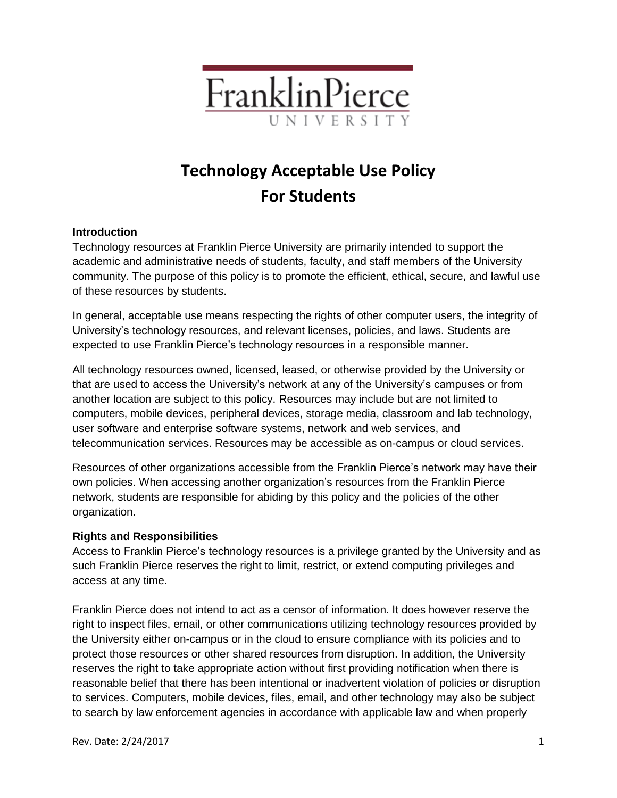

# **Technology Acceptable Use Policy For Students**

### **Introduction**

Technology resources at Franklin Pierce University are primarily intended to support the academic and administrative needs of students, faculty, and staff members of the University community. The purpose of this policy is to promote the efficient, ethical, secure, and lawful use of these resources by students.

In general, acceptable use means respecting the rights of other computer users, the integrity of University's technology resources, and relevant licenses, policies, and laws. Students are expected to use Franklin Pierce's technology resources in a responsible manner.

All technology resources owned, licensed, leased, or otherwise provided by the University or that are used to access the University's network at any of the University's campuses or from another location are subject to this policy. Resources may include but are not limited to computers, mobile devices, peripheral devices, storage media, classroom and lab technology, user software and enterprise software systems, network and web services, and telecommunication services. Resources may be accessible as on-campus or cloud services.

Resources of other organizations accessible from the Franklin Pierce's network may have their own policies. When accessing another organization's resources from the Franklin Pierce network, students are responsible for abiding by this policy and the policies of the other organization.

#### **Rights and Responsibilities**

Access to Franklin Pierce's technology resources is a privilege granted by the University and as such Franklin Pierce reserves the right to limit, restrict, or extend computing privileges and access at any time.

Franklin Pierce does not intend to act as a censor of information. It does however reserve the right to inspect files, email, or other communications utilizing technology resources provided by the University either on-campus or in the cloud to ensure compliance with its policies and to protect those resources or other shared resources from disruption. In addition, the University reserves the right to take appropriate action without first providing notification when there is reasonable belief that there has been intentional or inadvertent violation of policies or disruption to services. Computers, mobile devices, files, email, and other technology may also be subject to search by law enforcement agencies in accordance with applicable law and when properly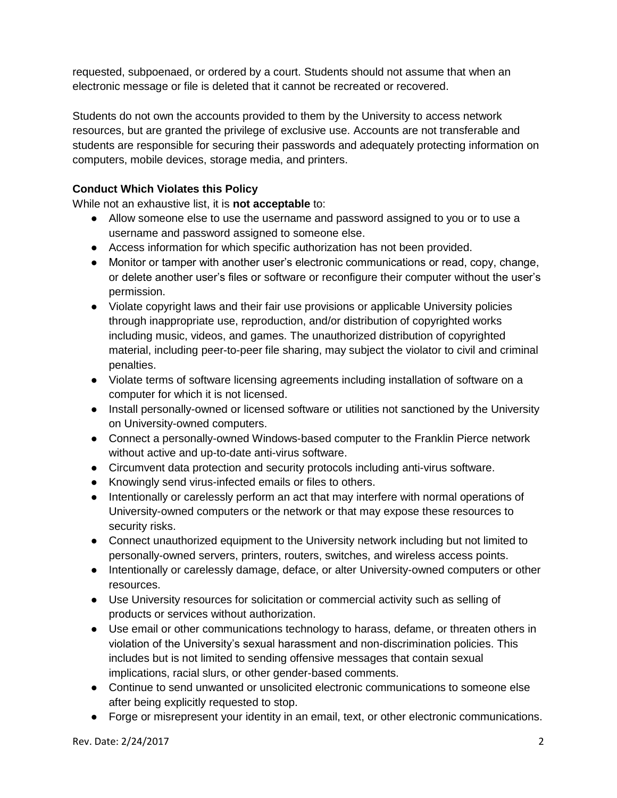requested, subpoenaed, or ordered by a court. Students should not assume that when an electronic message or file is deleted that it cannot be recreated or recovered.

Students do not own the accounts provided to them by the University to access network resources, but are granted the privilege of exclusive use. Accounts are not transferable and students are responsible for securing their passwords and adequately protecting information on computers, mobile devices, storage media, and printers.

# **Conduct Which Violates this Policy**

While not an exhaustive list, it is **not acceptable** to:

- Allow someone else to use the username and password assigned to you or to use a username and password assigned to someone else.
- **●** Access information for which specific authorization has not been provided.
- **●** Monitor or tamper with another user's electronic communications or read, copy, change, or delete another user's files or software or reconfigure their computer without the user's permission.
- **●** Violate copyright laws and their fair use provisions or applicable University policies through inappropriate use, reproduction, and/or distribution of copyrighted works including music, videos, and games. The unauthorized distribution of copyrighted material, including peer-to-peer file sharing, may subject the violator to civil and criminal penalties.
- **●** Violate terms of software licensing agreements including installation of software on a computer for which it is not licensed.
- **●** Install personally-owned or licensed software or utilities not sanctioned by the University on University-owned computers.
- **●** Connect a personally-owned Windows-based computer to the Franklin Pierce network without active and up-to-date anti-virus software.
- Circumvent data protection and security protocols including anti-virus software.
- **●** Knowingly send virus-infected emails or files to others.
- **●** Intentionally or carelessly perform an act that may interfere with normal operations of University-owned computers or the network or that may expose these resources to security risks.
- **●** Connect unauthorized equipment to the University network including but not limited to personally-owned servers, printers, routers, switches, and wireless access points.
- **●** Intentionally or carelessly damage, deface, or alter University-owned computers or other resources.
- **●** Use University resources for solicitation or commercial activity such as selling of products or services without authorization.
- **●** Use email or other communications technology to harass, defame, or threaten others in violation of the University's sexual harassment and non-discrimination policies. This includes but is not limited to sending offensive messages that contain sexual implications, racial slurs, or other gender-based comments.
- **●** Continue to send unwanted or unsolicited electronic communications to someone else after being explicitly requested to stop.
- **●** Forge or misrepresent your identity in an email, text, or other electronic communications.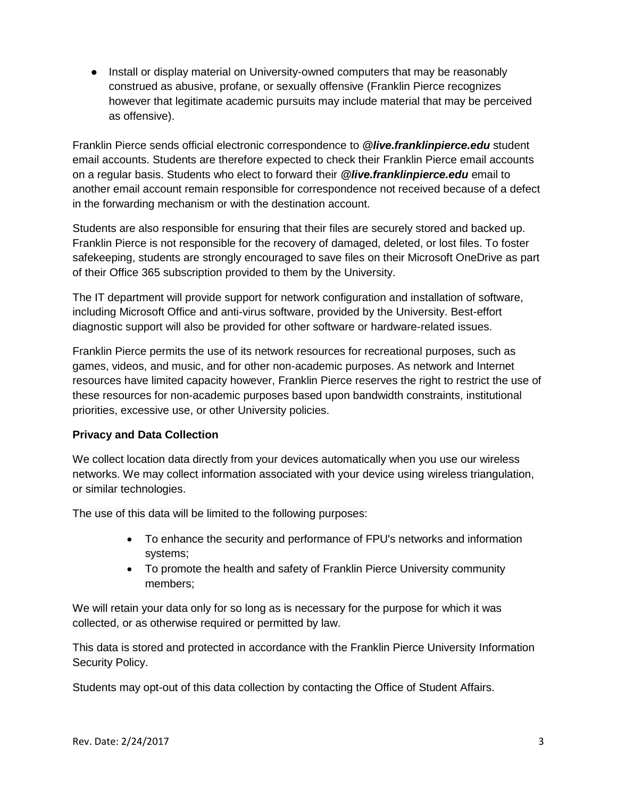**●** Install or display material on University-owned computers that may be reasonably construed as abusive, profane, or sexually offensive (Franklin Pierce recognizes however that legitimate academic pursuits may include material that may be perceived as offensive).

Franklin Pierce sends official electronic correspondence to *@live.franklinpierce.edu* student email accounts. Students are therefore expected to check their Franklin Pierce email accounts on a regular basis. Students who elect to forward their *@live.franklinpierce.edu* email to another email account remain responsible for correspondence not received because of a defect in the forwarding mechanism or with the destination account.

Students are also responsible for ensuring that their files are securely stored and backed up. Franklin Pierce is not responsible for the recovery of damaged, deleted, or lost files. To foster safekeeping, students are strongly encouraged to save files on their Microsoft OneDrive as part of their Office 365 subscription provided to them by the University.

The IT department will provide support for network configuration and installation of software, including Microsoft Office and anti-virus software, provided by the University. Best-effort diagnostic support will also be provided for other software or hardware-related issues.

Franklin Pierce permits the use of its network resources for recreational purposes, such as games, videos, and music, and for other non-academic purposes. As network and Internet resources have limited capacity however, Franklin Pierce reserves the right to restrict the use of these resources for non-academic purposes based upon bandwidth constraints, institutional priorities, excessive use, or other University policies.

## **Privacy and Data Collection**

We collect location data directly from your devices automatically when you use our wireless networks. We may collect information associated with your device using wireless triangulation, or similar technologies.

The use of this data will be limited to the following purposes:

- To enhance the security and performance of FPU's networks and information systems;
- To promote the health and safety of Franklin Pierce University community members;

We will retain your data only for so long as is necessary for the purpose for which it was collected, or as otherwise required or permitted by law.

This data is stored and protected in accordance with the Franklin Pierce University Information Security Policy.

Students may opt-out of this data collection by contacting the Office of Student Affairs.